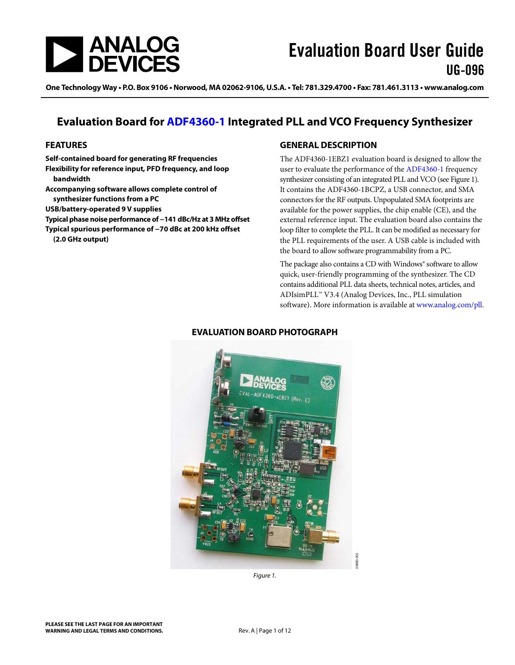

One Technology Way • P.O. Box 9106 • Norwood, MA 02062-9106, U.S.A. • Tel: 781.329.4700 • Fax: 781.461.3113 • www.analog.com

### **Evaluation Board for [ADF4360-1](http://www.analog.com/ADF4360-1) Integrated PLL and VCO Frequency Synthesizer**

#### <span id="page-0-1"></span>**FEATURES**

**Self-contained board for generating RF frequencies Flexibility for reference input, PFD frequency, and loop bandwidth Accompanying software allows complete control of synthesizer functions from a PC USB/battery-operated 9 V supplies Typical phase noise performance of −141 dBc/Hz at 3 MHz offset Typical spurious performance of −70 dBc at 200 kHz offset (2.0 GHz output)**

#### <span id="page-0-2"></span>**GENERAL DESCRIPTION**

The ADF4360-1EBZ1 evaluation board is designed to allow the user to evaluate the performance of the [ADF4360-1](http://www.analog.com/ADF4360-1) frequency synthesizer consisting of an integrated PLL and VCO (se[e Figure 1\)](#page-0-0). It contains the ADF4360-1BCPZ, a USB connector, and SMA connectors for the RF outputs. Unpopulated SMA footprints are available for the power supplies, the chip enable (CE), and the external reference input. The evaluation board also contains the loop filter to complete the PLL. It can be modified as necessary for the PLL requirements of the user. A USB cable is included with the board to allow software programmability from a PC.

The package also contains a CD with Windows® software to allow quick, user-friendly programming of the synthesizer. The CD contains additional PLL data sheets, technical notes, articles, and ADIsimPLL™ V3.4 (Analog Devices, Inc., PLL simulation software). More information is available a[t www.analog.com/pll.](http://www.analog.com/pll) 

<span id="page-0-3"></span>

#### **EVALUATION BOARD PHOTOGRAPH**

<span id="page-0-0"></span>*Figure 1.*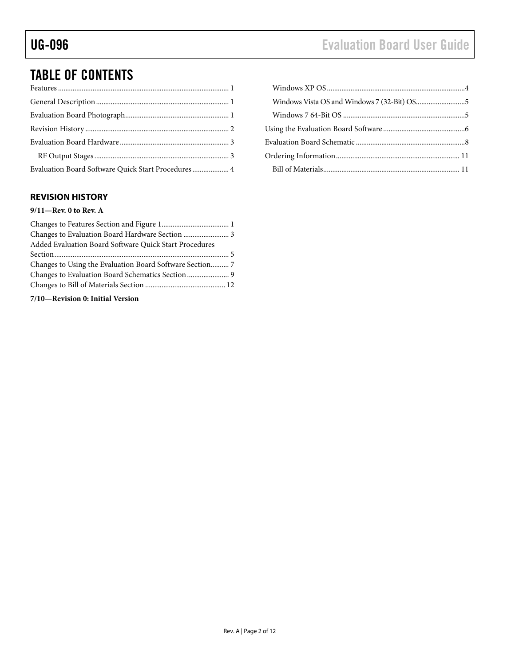# TABLE OF CONTENTS

| Evaluation Board Software Quick Start Procedures  4 |  |
|-----------------------------------------------------|--|

### <span id="page-1-0"></span>**REVISION HISTORY**

#### **9/11—Rev. 0 to Rev. A**

| Changes to Evaluation Board Hardware Section  3        |  |
|--------------------------------------------------------|--|
| Added Evaluation Board Software Quick Start Procedures |  |
|                                                        |  |
|                                                        |  |
| Changes to Evaluation Board Schematics Section  9      |  |
|                                                        |  |
|                                                        |  |

#### **7/10—Revision 0: Initial Version**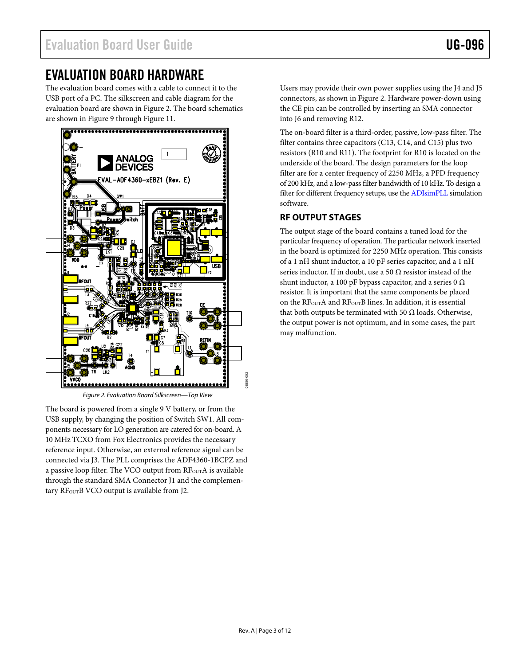### <span id="page-2-0"></span>EVALUATION BOARD HARDWARE

The evaluation board comes with a cable to connect it to the USB port of a PC. The silkscreen and cable diagram for the evaluation board are shown in [Figure 2.](#page-2-2) The board schematics are shown i[n Figure 9](#page-7-1) through [Figure 11.](#page-9-0) 



*Figure 2. Evaluation Board Silkscreen—Top View*

<span id="page-2-2"></span>The board is powered from a single 9 V battery, or from the USB supply, by changing the position of Switch SW1. All components necessary for LO generation are catered for on-board. A 10 MHz TCXO from Fox Electronics provides the necessary reference input. Otherwise, an external reference signal can be connected via J3. The PLL comprises the ADF4360-1BCPZ and a passive loop filter. The VCO output from RF<sub>OUT</sub>A is available through the standard SMA Connector J1 and the complementary RF<sub>OUT</sub>B VCO output is available from J2.

Users may provide their own power supplies using the J4 and J5 connectors, as shown in [Figure 2.](#page-2-2) Hardware power-down using the CE pin can be controlled by inserting an SMA connector into J6 and removing R12.

The on-board filter is a third-order, passive, low-pass filter. The filter contains three capacitors (C13, C14, and C15) plus two resistors (R10 and R11). The footprint for R10 is located on the underside of the board. The design parameters for the loop filter are for a center frequency of 2250 MHz, a PFD frequency of 200 kHz, and a low-pass filter bandwidth of 10 kHz. To design a filter for different frequency setups, use the [ADIsimPLL](http://www.analog.com/adisimpll) simulation software.

### <span id="page-2-1"></span>**RF OUTPUT STAGES**

The output stage of the board contains a tuned load for the particular frequency of operation. The particular network inserted in the board is optimized for 2250 MHz operation. This consists of a 1 nH shunt inductor, a 10 pF series capacitor, and a 1 nH series inductor. If in doubt, use a 50  $\Omega$  resistor instead of the shunt inductor, a 100 pF bypass capacitor, and a series 0  $\Omega$ resistor. It is important that the same components be placed on the RF<sub>OUT</sub>A and RF<sub>OUT</sub>B lines. In addition, it is essential that both outputs be terminated with 50 Ω loads. Otherwise, the output power is not optimum, and in some cases, the part may malfunction.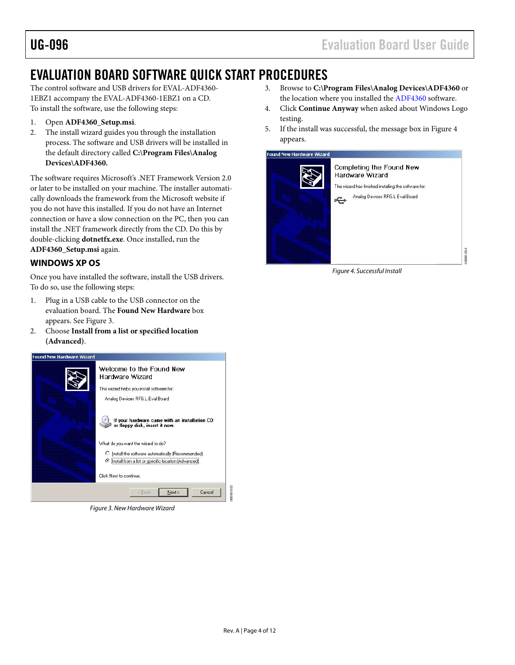## <span id="page-3-0"></span>EVALUATION BOARD SOFTWARE QUICK START PROCEDURES

The control software and USB drivers for EVAL-ADF4360- 1EBZ1 accompany the EVAL-ADF4360-1EBZ1 on a CD. To install the software, use the following steps:

- 1. Open **ADF4360\_Setup.msi**.
- 2. The install wizard guides you through the installation process. The software and USB drivers will be installed in the default directory called **C:\Program Files\Analog Devices\ADF4360.**

The software requires Microsoft's .NET Framework Version 2.0 or later to be installed on your machine. The installer automatically downloads the framework from the Microsoft website if you do not have this installed. If you do not have an Internet connection or have a slow connection on the PC, then you can install the .NET framework directly from the CD. Do this by double-clicking **dotnetfx.exe**. Once installed, run the **ADF4360\_Setup.msi** again.

### <span id="page-3-1"></span>**WINDOWS XP OS**

Once you have installed the software, install the USB drivers. To do so, use the following steps:

- 1. Plug in a USB cable to the USB connector on the evaluation board. The **Found New Hardware** box appears. Se[e Figure 3.](#page-3-2)
- 2. Choose **Install from a list or specified location (Advanced)**.

<span id="page-3-2"></span>

*Figure 3. New Hardware Wizard*

- 3. Browse to **C:\Program Files\Analog Devices\ADF4360** or the location where you installed the [ADF4360](http://www.analog.com/ADF4360-1) software.
- 4. Click **Continue Anyway** when asked about Windows Logo testing.
- 5. If the install was successful, the message box i[n Figure 4](#page-3-3) appears.

<span id="page-3-3"></span>

*Figure 4. Successful Install*

08880-004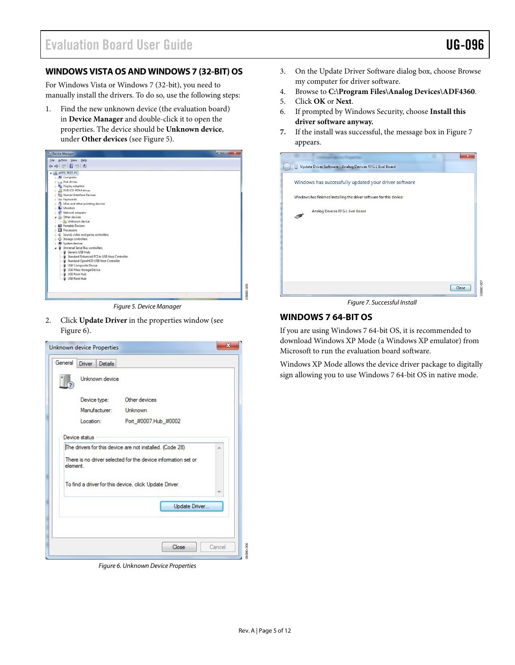08880-007

#### <span id="page-4-0"></span>**WINDOWS VISTA OS AND WINDOWS 7 (32-BIT) OS**

For Windows Vista or Windows 7 (32-bit), you need to manually install the drivers. To do so, use the following steps:

1. Find the new unknown device (the evaluation board) in **Device Manager** and double-click it to open the properties. The device should be **Unknown device**, under **Other devices** (see [Figure 5\)](#page-4-2).



*Figure 5. Device Manager*

<span id="page-4-2"></span>2. Click **Update Driver** in the properties window (see [Figure 6\)](#page-4-3).



*Figure 6. Unknown Device Properties*

- 3. On the Update Driver Software dialog box, choose Browse my computer for driver software.
- 4. Browse to **C:\Program Files\Analog Devices\ADF4360**.
- 5. Click **OK** or **Next**.
- 6. If prompted by Windows Security, choose **Install this driver software anyway.**
- **7.** If the install was successful, the message box i[n Figure 7](#page-4-4) appears.

| Update Driver Software - Analog Devices RFG.L Eval Board             |       |
|----------------------------------------------------------------------|-------|
| Windows has successfully updated your driver software                |       |
| Windows has finished installing the driver software for this device: |       |
| Analog Devices RFG.L Eval Board                                      |       |
|                                                                      |       |
|                                                                      |       |
|                                                                      |       |
|                                                                      |       |
|                                                                      | Close |

*Figure 7. Successful Install*

#### <span id="page-4-4"></span><span id="page-4-1"></span>**WINDOWS 7 64-BIT OS**

If you are using Windows 7 64-bit OS, it is recommended to download Windows XP Mode (a Windows XP emulator) from Microsoft to run the evaluation board software.

Windows XP Mode allows the device driver package to digitally sign allowing you to use Windows 7 64-bit OS in native mode.

08880-006

<span id="page-4-3"></span>DO<sub>6</sub>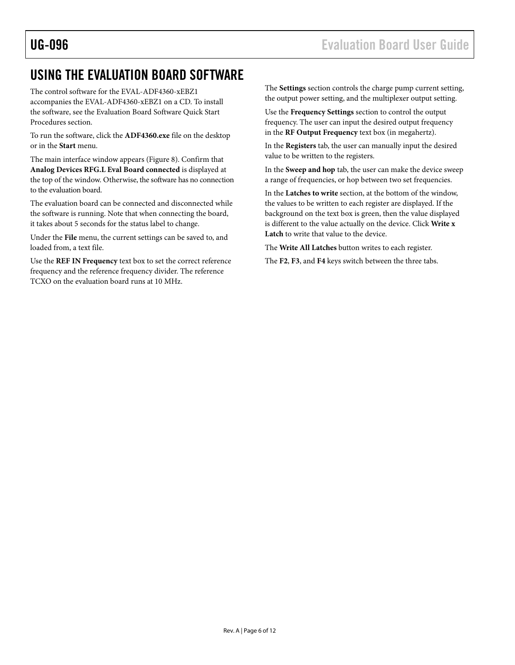### <span id="page-5-0"></span>USING THE EVALUATION BOARD SOFTWARE

The control software for the EVAL-ADF4360-xEBZ1 accompanies the EVAL-ADF4360-xEBZ1 on a CD. To install the software, see th[e Evaluation Board Software Quick Start](#page-3-0)  [Procedures](#page-3-0) section.

To run the software, click the **ADF4360.exe** file on the desktop or in the **Start** menu.

The main interface window appears [\(Figure 8\)](#page-6-0). Confirm that **Analog Devices RFG.L Eval Board connected** is displayed at the top of the window. Otherwise, the software has no connection to the evaluation board.

The evaluation board can be connected and disconnected while the software is running. Note that when connecting the board, it takes about 5 seconds for the status label to change.

Under the **File** menu, the current settings can be saved to, and loaded from, a text file.

Use the **REF IN Frequency** text box to set the correct reference frequency and the reference frequency divider. The reference TCXO on the evaluation board runs at 10 MHz.

The **Settings** section controls the charge pump current setting, the output power setting, and the multiplexer output setting.

Use the **Frequency Settings** section to control the output frequency. The user can input the desired output frequency in the **RF Output Frequency** text box (in megahertz).

In the **Registers** tab, the user can manually input the desired value to be written to the registers.

In the **Sweep and hop** tab, the user can make the device sweep a range of frequencies, or hop between two set frequencies.

In the **Latches to write** section, at the bottom of the window, the values to be written to each register are displayed. If the background on the text box is green, then the value displayed is different to the value actually on the device. Click **Write x Latch** to write that value to the device.

The **Write All Latches** button writes to each register.

The **F2**, **F3**, and **F4** keys switch between the three tabs.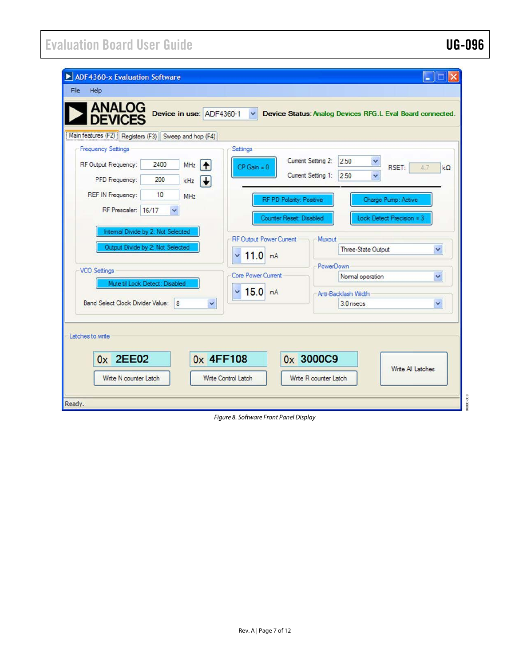| <b>ANALOG</b><br><b>DEVICES</b><br>Main features (F2) Registers (F3) Sweep and hop (F4) |                                    |              |                                |                                                              |
|-----------------------------------------------------------------------------------------|------------------------------------|--------------|--------------------------------|--------------------------------------------------------------|
| <b>Frequency Settings</b>                                                               |                                    |              | Settings                       |                                                              |
| RF Output Frequency:                                                                    | 2400                               | MHz          | $CP$ Gain = $0$                | Current Setting 2:<br>2.50<br>Y<br>RSET:<br>4.7<br>$k\Omega$ |
| PFD Frequency:                                                                          | 200                                | kHz          |                                | Current Setting 1:<br>2.50<br>$\checkmark$                   |
| <b>REF IN Frequency:</b>                                                                | 10                                 | <b>MHz</b>   |                                | RF PD Polarity: Positive<br>Charge Pump: Active              |
| RF Prescaler: 16/17                                                                     |                                    |              |                                |                                                              |
|                                                                                         |                                    |              |                                | Counter Reset: Disabled<br>Lock Detect Precision = 3         |
|                                                                                         | Internal Divide by 2: Not Selected |              | <b>RF Output Power Current</b> | Muxout                                                       |
|                                                                                         | Output Divide by 2: Not Selected   |              | $11.0$ mA                      | Three-State Output<br>$\checkmark$                           |
|                                                                                         |                                    |              |                                | <b>PowerDown</b>                                             |
| <b>VCO Settings</b>                                                                     | Mute til Lock Detect: Disabled     |              | Core Power Current             | Normal operation<br>$\checkmark$                             |
|                                                                                         |                                    |              | $15.0$ mA<br>v                 | Anti-Backlash Width                                          |
| <b>Band Select Clock Divider Value:</b>                                                 | $\overline{8}$                     | $\checkmark$ |                                | v<br>3.0 nsecs                                               |
|                                                                                         |                                    |              |                                |                                                              |
|                                                                                         |                                    |              |                                |                                                              |
|                                                                                         |                                    |              |                                |                                                              |
|                                                                                         |                                    |              |                                |                                                              |
| Latches to write<br>0x 2EE02                                                            |                                    | 0x 4FF108    |                                | 0x 3000C9                                                    |

<span id="page-6-0"></span>*Figure 8. Software Front Panel Display*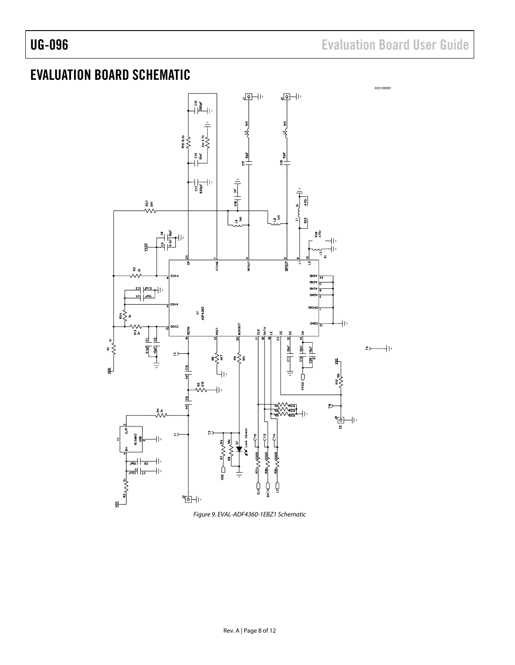# <span id="page-7-0"></span>EVALUATION BOARD SCHEMATIC



<span id="page-7-1"></span>*Figure 9. EVAL-ADF4360-1EBZ1 Schematic*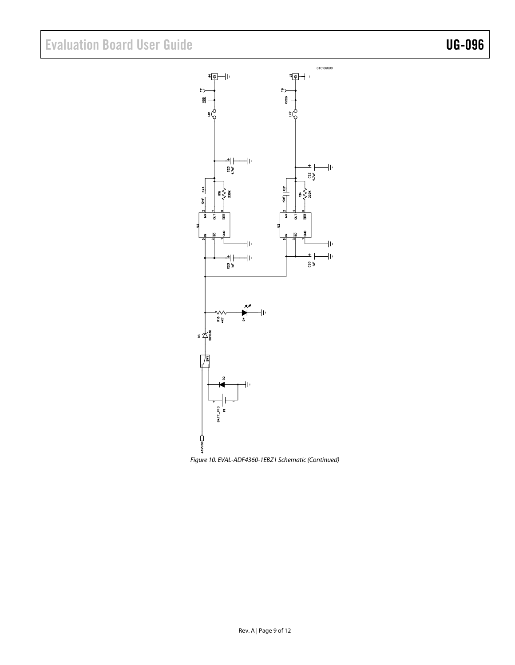# Evaluation Board User Guide Contract Contract Contract Contract Contract Contract Contract Contract Contract Contract Contract Contract Contract Contract Contract Contract Contract Contract Contract Contract Contract Contr



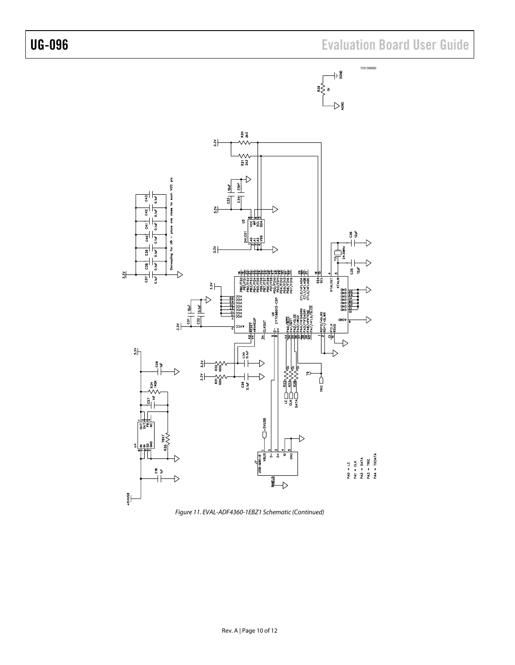

<span id="page-9-0"></span>*Figure 11. EVAL-ADF4360-1EBZ1 Schematic (Continued)*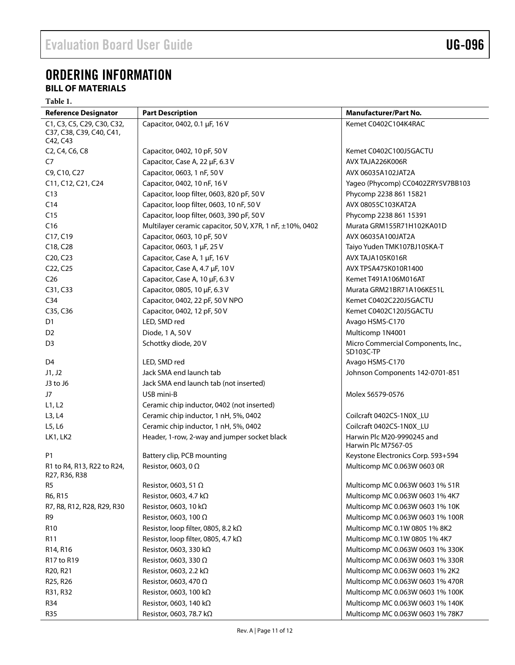# <span id="page-10-0"></span>ORDERING INFORMATION

### <span id="page-10-1"></span>**BILL OF MATERIALS**

**Table 1.** 

| <b>Reference Designator</b>                                                   | <b>Part Description</b>                                   | <b>Manufacturer/Part No.</b>                      |
|-------------------------------------------------------------------------------|-----------------------------------------------------------|---------------------------------------------------|
| C1, C3, C5, C29, C30, C32,                                                    | Capacitor, 0402, 0.1 µF, 16 V                             | Kemet C0402C104K4RAC                              |
| C37, C38, C39, C40, C41,                                                      |                                                           |                                                   |
| C42, C43<br>C <sub>2</sub> , C <sub>4</sub> , C <sub>6</sub> , C <sub>8</sub> | Capacitor, 0402, 10 pF, 50 V                              | Kemet C0402C100J5GACTU                            |
| C <sub>7</sub>                                                                | Capacitor, Case A, 22 µF, 6.3 V                           | AVX TAJA226K006R                                  |
| C9, C10, C27                                                                  | Capacitor, 0603, 1 nF, 50 V                               | AVX 06035A102JAT2A                                |
|                                                                               |                                                           |                                                   |
| C11, C12, C21, C24                                                            | Capacitor, 0402, 10 nF, 16 V                              | Yageo (Phycomp) CC0402ZRY5V7BB103                 |
| C13                                                                           | Capacitor, loop filter, 0603, 820 pF, 50 V                | Phycomp 2238 861 15821<br>AVX 08055C103KAT2A      |
| C14                                                                           | Capacitor, loop filter, 0603, 10 nF, 50 V                 |                                                   |
| C15                                                                           | Capacitor, loop filter, 0603, 390 pF, 50 V                | Phycomp 2238 861 15391                            |
| C16                                                                           | Multilayer ceramic capacitor, 50 V, X7R, 1 nF, ±10%, 0402 | Murata GRM155R71H102KA01D                         |
| C17, C19                                                                      | Capacitor, 0603, 10 pF, 50 V                              | AVX 06035A100JAT2A                                |
| C18, C28                                                                      | Capacitor, 0603, 1 µF, 25 V                               | Taiyo Yuden TMK107BJ105KA-T                       |
| C <sub>20</sub> , C <sub>23</sub>                                             | Capacitor, Case A, 1 µF, 16 V                             | AVX TAJA105K016R                                  |
| C22, C25                                                                      | Capacitor, Case A, 4.7 µF, 10 V                           | AVX TPSA475K010R1400                              |
| C <sub>26</sub>                                                               | Capacitor, Case A, 10 µF, 6.3 V                           | Kemet T491A106M016AT                              |
| C31, C33                                                                      | Capacitor, 0805, 10 µF, 6.3 V                             | Murata GRM21BR71A106KE51L                         |
| C <sub>34</sub>                                                               | Capacitor, 0402, 22 pF, 50 V NPO                          | Kemet C0402C220J5GACTU                            |
| C35, C36                                                                      | Capacitor, 0402, 12 pF, 50 V                              | Kemet C0402C120J5GACTU                            |
| D <sub>1</sub>                                                                | LED, SMD red                                              | Avago HSMS-C170                                   |
| D <sub>2</sub>                                                                | Diode, 1 A, 50 V                                          | Multicomp 1N4001                                  |
| D3                                                                            | Schottky diode, 20 V                                      | Micro Commercial Components, Inc.,<br>SD103C-TP   |
| D <sub>4</sub>                                                                | LED, SMD red                                              | Avago HSMS-C170                                   |
| J1, J2                                                                        | Jack SMA end launch tab                                   | Johnson Components 142-0701-851                   |
| J3 to J6                                                                      | Jack SMA end launch tab (not inserted)                    |                                                   |
| J7                                                                            | USB mini-B                                                | Molex 56579-0576                                  |
| L1, L2                                                                        | Ceramic chip inductor, 0402 (not inserted)                |                                                   |
| L3, L4                                                                        | Ceramic chip inductor, 1 nH, 5%, 0402                     | Coilcraft 0402CS-1N0X_LU                          |
| L5, L6                                                                        | Ceramic chip inductor, 1 nH, 5%, 0402                     | Coilcraft 0402CS-1N0X_LU                          |
| LK1, LK2                                                                      | Header, 1-row, 2-way and jumper socket black              | Harwin Plc M20-9990245 and<br>Harwin Plc M7567-05 |
| P1                                                                            | Battery clip, PCB mounting                                | Keystone Electronics Corp. 593+594                |
| R1 to R4, R13, R22 to R24,<br>R27, R36, R38                                   | Resistor, 0603, 0 $\Omega$                                | Multicomp MC 0.063W 0603 0R                       |
| R5                                                                            | Resistor, 0603, 51 Ω                                      | Multicomp MC 0.063W 0603 1% 51R                   |
| R6, R15                                                                       | Resistor, 0603, 4.7 k $\Omega$                            | Multicomp MC 0.063W 0603 1% 4K7                   |
| R7, R8, R12, R28, R29, R30                                                    | Resistor, 0603, 10 k $\Omega$                             | Multicomp MC 0.063W 0603 1% 10K                   |
| R9                                                                            | Resistor, 0603, 100 $\Omega$                              | Multicomp MC 0.063W 0603 1% 100R                  |
| R <sub>10</sub>                                                               | Resistor, loop filter, 0805, 8.2 k $\Omega$               | Multicomp MC 0.1W 0805 1% 8K2                     |
| R11                                                                           | Resistor, loop filter, 0805, 4.7 $k\Omega$                | Multicomp MC 0.1W 0805 1% 4K7                     |
| R <sub>14</sub> , R <sub>16</sub>                                             | Resistor, 0603, 330 kΩ                                    | Multicomp MC 0.063W 0603 1% 330K                  |
| R17 to R19                                                                    | Resistor, 0603, 330 $\Omega$                              | Multicomp MC 0.063W 0603 1% 330R                  |
| R <sub>20</sub> , R <sub>21</sub>                                             | Resistor, 0603, 2.2 kΩ                                    | Multicomp MC 0.063W 0603 1% 2K2                   |
| R25, R26                                                                      | Resistor, 0603, 470 $\Omega$                              | Multicomp MC 0.063W 0603 1% 470R                  |
| R31, R32                                                                      | Resistor, 0603, 100 kΩ                                    | Multicomp MC 0.063W 0603 1% 100K                  |
| R34                                                                           | Resistor, 0603, 140 kΩ                                    | Multicomp MC 0.063W 0603 1% 140K                  |
| <b>R35</b>                                                                    | Resistor, 0603, 78.7 kΩ                                   | Multicomp MC 0.063W 0603 1% 78K7                  |